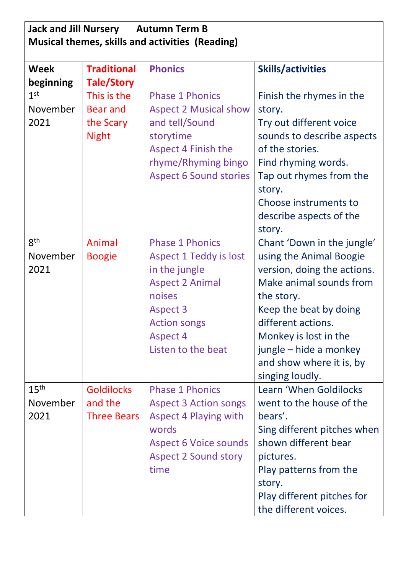| <b>Jack and Jill Nursery</b><br><b>Autumn Term B</b><br>Musical themes, skills and activities (Reading) |                    |                               |                             |  |
|---------------------------------------------------------------------------------------------------------|--------------------|-------------------------------|-----------------------------|--|
| Week                                                                                                    | <b>Traditional</b> | <b>Phonics</b>                | <b>Skills/activities</b>    |  |
| beginning                                                                                               | <b>Tale/Story</b>  |                               |                             |  |
| 1 <sup>st</sup>                                                                                         | This is the        | <b>Phase 1 Phonics</b>        | Finish the rhymes in the    |  |
| November                                                                                                | <b>Bear and</b>    | <b>Aspect 2 Musical show</b>  | story.                      |  |
| 2021                                                                                                    | the Scary          | and tell/Sound                | Try out different voice     |  |
|                                                                                                         | <b>Night</b>       | storytime                     | sounds to describe aspects  |  |
|                                                                                                         |                    | <b>Aspect 4 Finish the</b>    | of the stories.             |  |
|                                                                                                         |                    | rhyme/Rhyming bingo           | Find rhyming words.         |  |
|                                                                                                         |                    | <b>Aspect 6 Sound stories</b> | Tap out rhymes from the     |  |
|                                                                                                         |                    |                               | story.                      |  |
|                                                                                                         |                    |                               | Choose instruments to       |  |
|                                                                                                         |                    |                               | describe aspects of the     |  |
|                                                                                                         |                    |                               | story.                      |  |
| 8 <sup>th</sup>                                                                                         | <b>Animal</b>      | <b>Phase 1 Phonics</b>        | Chant 'Down in the jungle'  |  |
| November                                                                                                | <b>Boogie</b>      | <b>Aspect 1 Teddy is lost</b> | using the Animal Boogie     |  |
| 2021                                                                                                    |                    | in the jungle                 | version, doing the actions. |  |
|                                                                                                         |                    | <b>Aspect 2 Animal</b>        | Make animal sounds from     |  |
|                                                                                                         |                    | noises                        | the story.                  |  |
|                                                                                                         |                    | <b>Aspect 3</b>               | Keep the beat by doing      |  |
|                                                                                                         |                    | <b>Action songs</b>           | different actions.          |  |
|                                                                                                         |                    | <b>Aspect 4</b>               | Monkey is lost in the       |  |
|                                                                                                         |                    | Listen to the beat            | jungle – hide a monkey      |  |
|                                                                                                         |                    |                               | and show where it is, by    |  |
|                                                                                                         |                    |                               | singing loudly.             |  |
| 15 <sup>th</sup>                                                                                        | <b>Goldilocks</b>  | <b>Phase 1 Phonics</b>        | Learn 'When Goldilocks      |  |
| November                                                                                                | and the            | <b>Aspect 3 Action songs</b>  | went to the house of the    |  |
| 2021                                                                                                    | <b>Three Bears</b> | <b>Aspect 4 Playing with</b>  | bears'.                     |  |
|                                                                                                         |                    | words                         | Sing different pitches when |  |
|                                                                                                         |                    | <b>Aspect 6 Voice sounds</b>  | shown different bear        |  |
|                                                                                                         |                    | <b>Aspect 2 Sound story</b>   | pictures.                   |  |
|                                                                                                         |                    | time                          | Play patterns from the      |  |
|                                                                                                         |                    |                               | story.                      |  |
|                                                                                                         |                    |                               | Play different pitches for  |  |
|                                                                                                         |                    |                               | the different voices.       |  |